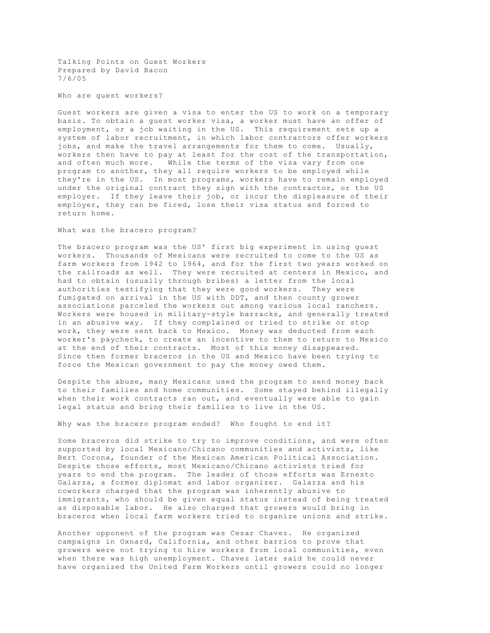Talking Points on Guest Workers Prepared by David Bacon 7/6/05

Who are guest workers?

Guest workers are given a visa to enter the US to work on a temporary basis. To obtain a guest worker visa, a worker must have an offer of employment, or a job waiting in the US. This requirement sets up a system of labor recruitment, in which labor contractors offer workers jobs, and make the travel arrangements for them to come. Usually, workers then have to pay at least for the cost of the transportation, and often much more. While the terms of the visa vary from one program to another, they all require workers to be employed while they're in the US. In most programs, workers have to remain employed under the original contract they sign with the contractor, or the US employer. If they leave their job, or incur the displeasure of their employer, they can be fired, lose their visa status and forced to return home.

## What was the bracero program?

The bracero program was the US' first big experiment in using guest workers. Thousands of Mexicans were recruited to come to the US as farm workers from 1942 to 1964, and for the first two years worked on the railroads as well. They were recruited at centers in Mexico, and had to obtain (usually through bribes) a letter from the local authorities testifying that they were good workers. They were fumigated on arrival in the US with DDT, and then county grower associations parceled the workers out among various local ranchers. Workers were housed in military-style barracks, and generally treated in an abusive way. If they complained or tried to strike or stop work, they were sent back to Mexico. Money was deducted from each worker's paycheck, to create an incentive to them to return to Mexico at the end of their contracts. Most of this money disappeared. Since then former braceros in the US and Mexico have been trying to force the Mexican government to pay the money owed them.

Despite the abuse, many Mexicans used the program to send money back to their families and home communities. Some stayed behind illegally when their work contracts ran out, and eventually were able to gain legal status and bring their families to live in the US.

Why was the bracero program ended? Who fought to end it?

Some braceros did strike to try to improve conditions, and were often supported by local Mexicano/Chicano communities and activists, like Bert Corona, founder of the Mexican American Political Association. Despite those efforts, most Mexicano/Chicano activists tried for years to end the program. The leader of those efforts was Ernesto Galarza, a former diplomat and labor organizer. Galarza and his coworkers charged that the program was inherently abusive to immigrants, who should be given equal status instead of being treated as disposable labor. He also charged that growers would bring in braceros when local farm workers tried to organize unions and strike.

Another opponent of the program was Cesar Chavez. He organized campaigns in Oxnard, California, and other barrios to prove that growers were not trying to hire workers from local communities, even when there was high unemployment. Chavez later said he could never have organized the United Farm Workers until growers could no longer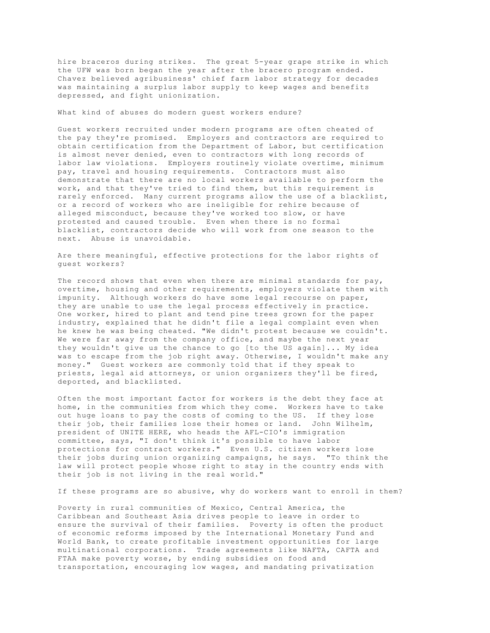hire braceros during strikes. The great 5-year grape strike in which the UFW was born began the year after the bracero program ended. Chavez believed agribusiness' chief farm labor strategy for decades was maintaining a surplus labor supply to keep wages and benefits depressed, and fight unionization.

What kind of abuses do modern guest workers endure?

Guest workers recruited under modern programs are often cheated of the pay they're promised. Employers and contractors are required to obtain certification from the Department of Labor, but certification is almost never denied, even to contractors with long records of labor law violations. Employers routinely violate overtime, minimum pay, travel and housing requirements. Contractors must also demonstrate that there are no local workers available to perform the work, and that they've tried to find them, but this requirement is rarely enforced. Many current programs allow the use of a blacklist, or a record of workers who are ineligible for rehire because of alleged misconduct, because they've worked too slow, or have protested and caused trouble. Even when there is no formal blacklist, contractors decide who will work from one season to the next. Abuse is unavoidable.

Are there meaningful, effective protections for the labor rights of guest workers?

The record shows that even when there are minimal standards for pay, overtime, housing and other requirements, employers violate them with impunity. Although workers do have some legal recourse on paper, they are unable to use the legal process effectively in practice. One worker, hired to plant and tend pine trees grown for the paper industry, explained that he didn't file a legal complaint even when he knew he was being cheated. "We didn't protest because we couldn't. We were far away from the company office, and maybe the next year they wouldn't give us the chance to go [to the US again]... My idea was to escape from the job right away. Otherwise, I wouldn't make any money." Guest workers are commonly told that if they speak to priests, legal aid attorneys, or union organizers they'll be fired, deported, and blacklisted.

Often the most important factor for workers is the debt they face at home, in the communities from which they come. Workers have to take out huge loans to pay the costs of coming to the US. If they lose their job, their families lose their homes or land. John Wilhelm, president of UNITE HERE, who heads the AFL-CIO's immigration committee, says, "I don't think it's possible to have labor protections for contract workers." Even U.S. citizen workers lose their jobs during union organizing campaigns, he says. "To think the law will protect people whose right to stay in the country ends with their job is not living in the real world."

If these programs are so abusive, why do workers want to enroll in them?

Poverty in rural communities of Mexico, Central America, the Caribbean and Southeast Asia drives people to leave in order to ensure the survival of their families. Poverty is often the product of economic reforms imposed by the International Monetary Fund and World Bank, to create profitable investment opportunities for large multinational corporations. Trade agreements like NAFTA, CAFTA and FTAA make poverty worse, by ending subsidies on food and transportation, encouraging low wages, and mandating privatization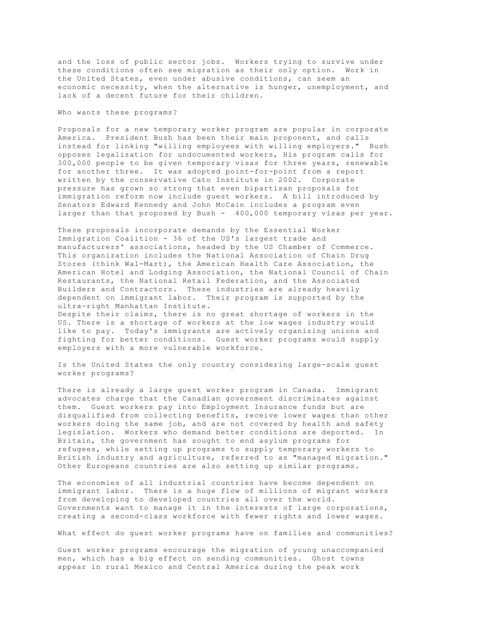and the loss of public sector jobs. Workers trying to survive under these conditions often see migration as their only option. Work in the United States, even under abusive conditions, can seem an economic necessity, when the alternative is hunger, unemployment, and lack of a decent future for their children.

## Who wants these programs?

Proposals for a new temporary worker program are popular in corporate America. President Bush has been their main proponent, and calls instead for linking "willing employees with willing employers." Bush opposes legalization for undocumented workers, His program calls for 300,000 people to be given temporary visas for three years, renewable for another three. It was adopted point-for-point from a report written by the conservative Cato Institute in 2002. Corporate pressure has grown so strong that even bipartisan proposals for immigration reform now include guest workers. A bill introduced by Senators Edward Kennedy and John McCain includes a program even larger than that proposed by Bush - 400,000 temporary visas per year.

These proposals incorporate demands by the Essential Worker Immigration Coalition - 36 of the US's largest trade and manufacturers' associations, headed by the US Chamber of Commerce. This organization includes the National Association of Chain Drug Stores (think Wal-Mart), the American Health Care Association, the American Hotel and Lodging Association, the National Council of Chain Restaurants, the National Retail Federation, and the Associated Builders and Contractors. These industries are already heavily dependent on immigrant labor. Their program is supported by the ultra-right Manhattan Institute.

Despite their claims, there is no great shortage of workers in the US. There is a shortage of workers at the low wages industry would like to pay. Today's immigrants are actively organizing unions and fighting for better conditions. Guest worker programs would supply employers with a more vulnerable workforce.

Is the United States the only country considering large-scale guest worker programs?

There is already a large guest worker program in Canada. Immigrant advocates charge that the Canadian government discriminates against them. Guest workers pay into Employment Insurance funds but are disqualified from collecting benefits, receive lower wages than other workers doing the same job, and are not covered by health and safety legislation. Workers who demand better conditions are deported. In Britain, the government has sought to end asylum programs for refugees, while setting up programs to supply temporary workers to British industry and agriculture, referred to as "managed migration." Other Europeans countries are also setting up similar programs.

The economies of all industrial countries have become dependent on immigrant labor. There is a huge flow of millions of migrant workers from developing to developed countries all over the world. Governments want to manage it in the interests of large corporations, creating a second-class workforce with fewer rights and lower wages.

What effect do guest worker programs have on families and communities?

Guest worker programs encourage the migration of young unaccompanied men, which has a big effect on sending communities. Ghost towns appear in rural Mexico and Central America during the peak work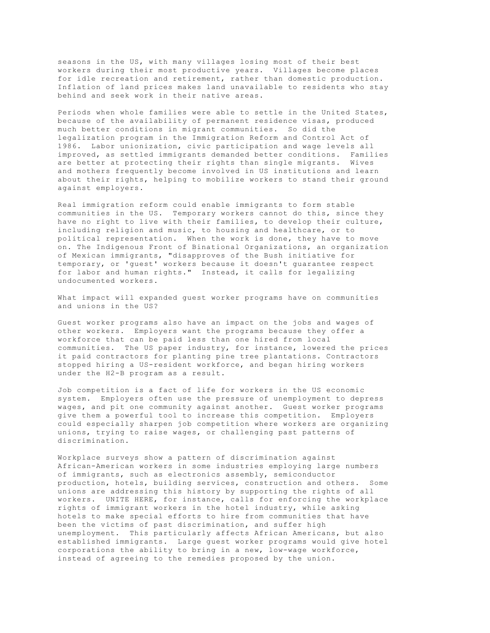seasons in the US, with many villages losing most of their best workers during their most productive years. Villages become places for idle recreation and retirement, rather than domestic production. Inflation of land prices makes land unavailable to residents who stay behind and seek work in their native areas.

Periods when whole families were able to settle in the United States, because of the availability of permanent residence visas, produced much better conditions in migrant communities. So did the legalization program in the Immigration Reform and Control Act of 1986. Labor unionization, civic participation and wage levels all improved, as settled immigrants demanded better conditions. Families are better at protecting their rights than single migrants. Wives and mothers frequently become involved in US institutions and learn about their rights, helping to mobilize workers to stand their ground against employers.

Real immigration reform could enable immigrants to form stable communities in the US. Temporary workers cannot do this, since they have no right to live with their families, to develop their culture, including religion and music, to housing and healthcare, or to political representation. When the work is done, they have to move on. The Indigenous Front of Binational Organizations, an organization of Mexican immigrants, "disapproves of the Bush initiative for temporary, or 'guest' workers because it doesn't guarantee respect for labor and human rights." Instead, it calls for legalizing undocumented workers.

What impact will expanded guest worker programs have on communities and unions in the US?

Guest worker programs also have an impact on the jobs and wages of other workers. Employers want the programs because they offer a workforce that can be paid less than one hired from local communities. The US paper industry, for instance, lowered the prices it paid contractors for planting pine tree plantations. Contractors stopped hiring a US-resident workforce, and began hiring workers under the H2-B program as a result.

Job competition is a fact of life for workers in the US economic system. Employers often use the pressure of unemployment to depress wages, and pit one community against another. Guest worker programs give them a powerful tool to increase this competition. Employers could especially sharpen job competition where workers are organizing unions, trying to raise wages, or challenging past patterns of discrimination.

Workplace surveys show a pattern of discrimination against African-American workers in some industries employing large numbers of immigrants, such as electronics assembly, semiconductor production, hotels, building services, construction and others. Some unions are addressing this history by supporting the rights of all workers. UNITE HERE, for instance, calls for enforcing the workplace rights of immigrant workers in the hotel industry, while asking hotels to make special efforts to hire from communities that have been the victims of past discrimination, and suffer high unemployment. This particularly affects African Americans, but also established immigrants. Large guest worker programs would give hotel corporations the ability to bring in a new, low-wage workforce, instead of agreeing to the remedies proposed by the union.